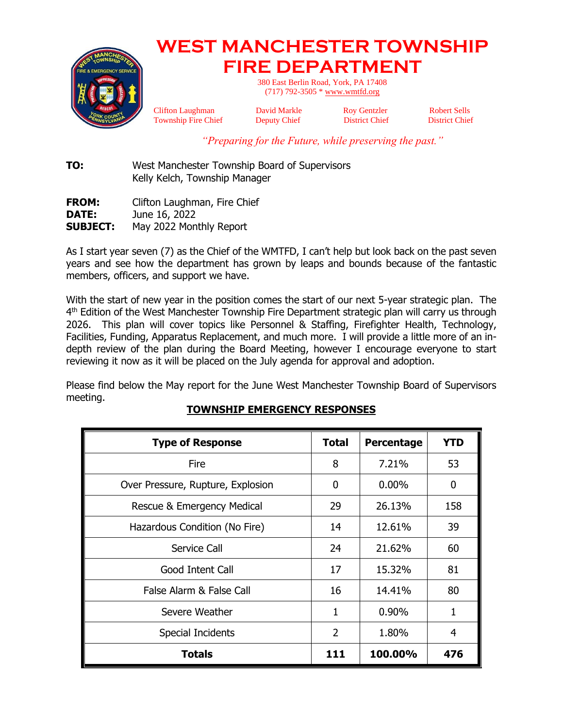

# **WEST MANCHESTER TOWNSHIP FIRE DEPARTMENT**

380 East Berlin Road, York, PA 17408 (717) 792-3505 [\\* www.wmtfd.org](http://www.wmtfd.org/)

Clifton Laughman David Markle Roy Gentzler Robert Sells Township Fire Chief Deputy Chief District Chief District Chief

*"Preparing for the Future, while preserving the past."*

**TO:** West Manchester Township Board of Supervisors Kelly Kelch, Township Manager

**FROM:** Clifton Laughman, Fire Chief **DATE:** June 16, 2022 **SUBJECT:** May 2022 Monthly Report

As I start year seven (7) as the Chief of the WMTFD, I can't help but look back on the past seven years and see how the department has grown by leaps and bounds because of the fantastic members, officers, and support we have.

With the start of new year in the position comes the start of our next 5-year strategic plan. The 4<sup>th</sup> Edition of the West Manchester Township Fire Department strategic plan will carry us through 2026. This plan will cover topics like Personnel & Staffing, Firefighter Health, Technology, Facilities, Funding, Apparatus Replacement, and much more. I will provide a little more of an indepth review of the plan during the Board Meeting, however I encourage everyone to start reviewing it now as it will be placed on the July agenda for approval and adoption.

Please find below the May report for the June West Manchester Township Board of Supervisors meeting.

| <b>Type of Response</b>           | <b>Total</b>   | Percentage | <b>YTD</b> |
|-----------------------------------|----------------|------------|------------|
| <b>Fire</b>                       | 8              | 7.21%      | 53         |
| Over Pressure, Rupture, Explosion | 0              | $0.00\%$   | 0          |
| Rescue & Emergency Medical        | 29             | 26.13%     | 158        |
| Hazardous Condition (No Fire)     | 14             | 12.61%     | 39         |
| Service Call                      | 24             | 21.62%     | 60         |
| Good Intent Call                  | 17             | 15.32%     | 81         |
| False Alarm & False Call          | 16             | 14.41%     | 80         |
| Severe Weather                    | 1              | $0.90\%$   | 1          |
| <b>Special Incidents</b>          | $\overline{2}$ | 1.80%      | 4          |
| <b>Totals</b>                     | 111            | 100.00%    | 476        |

# **TOWNSHIP EMERGENCY RESPONSES**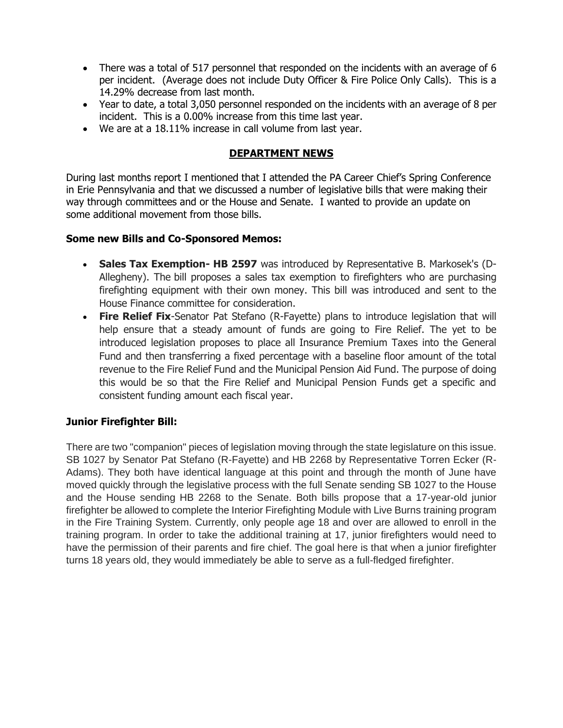- There was a total of 517 personnel that responded on the incidents with an average of 6 per incident. (Average does not include Duty Officer & Fire Police Only Calls). This is a 14.29% decrease from last month.
- Year to date, a total 3,050 personnel responded on the incidents with an average of 8 per incident. This is a 0.00% increase from this time last year.
- We are at a 18.11% increase in call volume from last year.

## **DEPARTMENT NEWS**

During last months report I mentioned that I attended the PA Career Chief's Spring Conference in Erie Pennsylvania and that we discussed a number of legislative bills that were making their way through committees and or the House and Senate. I wanted to provide an update on some additional movement from those bills.

## **Some new Bills and Co-Sponsored Memos:**

- **Sales Tax Exemption- HB 2597** was introduced by Representative B. Markosek's (D-Allegheny). The bill proposes a sales tax exemption to firefighters who are purchasing firefighting equipment with their own money. This bill was introduced and sent to the House Finance committee for consideration.
- **Fire Relief Fix**-Senator Pat Stefano (R-Fayette) plans to introduce legislation that will help ensure that a steady amount of funds are going to Fire Relief. The yet to be introduced legislation proposes to place all Insurance Premium Taxes into the General Fund and then transferring a fixed percentage with a baseline floor amount of the total revenue to the Fire Relief Fund and the Municipal Pension Aid Fund. The purpose of doing this would be so that the Fire Relief and Municipal Pension Funds get a specific and consistent funding amount each fiscal year.

## **Junior Firefighter Bill:**

There are two "companion" pieces of legislation moving through the state legislature on this issue. SB 1027 by Senator Pat Stefano (R-Fayette) and HB 2268 by Representative Torren Ecker (R-Adams). They both have identical language at this point and through the month of June have moved quickly through the legislative process with the full Senate sending SB 1027 to the House and the House sending HB 2268 to the Senate. Both bills propose that a 17-year-old junior firefighter be allowed to complete the Interior Firefighting Module with Live Burns training program in the Fire Training System. Currently, only people age 18 and over are allowed to enroll in the training program. In order to take the additional training at 17, junior firefighters would need to have the permission of their parents and fire chief. The goal here is that when a junior firefighter turns 18 years old, they would immediately be able to serve as a full-fledged firefighter.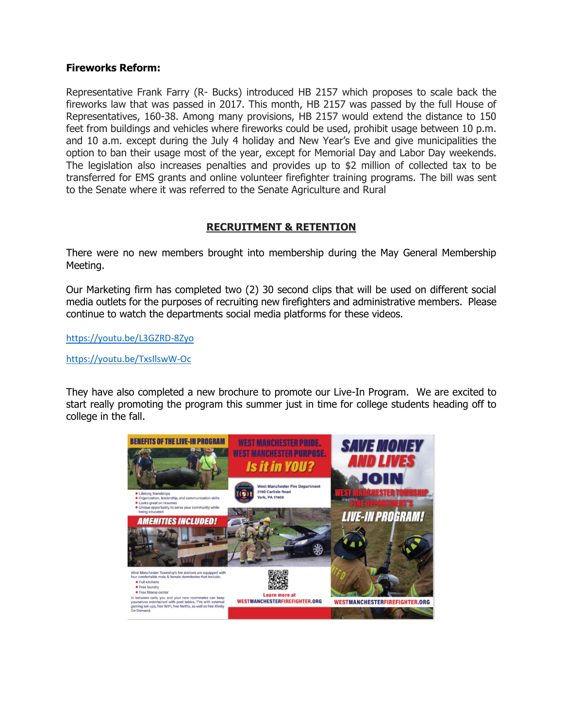#### **Fireworks Reform:**

Representative Frank Farry (R- Bucks) introduced HB 2157 which proposes to scale back the fireworks law that was passed in 2017. This month, HB 2157 was passed by the full House of Representatives, 160-38. Among many provisions, HB 2157 would extend the distance to 150 feet from buildings and vehicles where fireworks could be used, prohibit usage between 10 p.m. and 10 a.m. except during the July 4 holiday and New Year's Eve and give municipalities the option to ban their usage most of the year, except for Memorial Day and Labor Day weekends. The legislation also increases penalties and provides up to \$2 million of collected tax to be transferred for EMS grants and online volunteer firefighter training programs. The bill was sent to the Senate where it was referred to the Senate Agriculture and Rural

## **RECRUITMENT & RETENTION**

There were no new members brought into membership during the May General Membership Meeting.

Our Marketing firm has completed two (2) 30 second clips that will be used on different social media outlets for the purposes of recruiting new firefighters and administrative members. Please continue to watch the departments social media platforms for these videos.

<https://youtu.be/L3GZRD-8Zyo>

<https://youtu.be/TxsIlswW-Oc>

They have also completed a new brochure to promote our Live-In Program. We are excited to start really promoting the program this summer just in time for college students heading off to college in the fall.

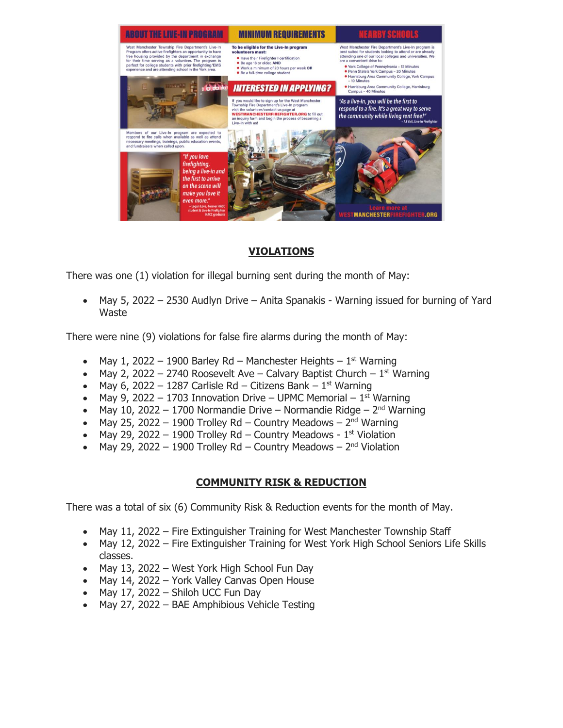

# **VIOLATIONS**

There was one (1) violation for illegal burning sent during the month of May:

• May 5, 2022 – 2530 Audlyn Drive – Anita Spanakis - Warning issued for burning of Yard Waste

There were nine (9) violations for false fire alarms during the month of May:

- May 1, 2022 1900 Barley Rd Manchester Heights  $1<sup>st</sup>$  Warning
- May 2, 2022 2740 Roosevelt Ave Calvary Baptist Church  $1<sup>st</sup>$  Warning
- May 6, 2022 1287 Carlisle Rd Citizens Bank  $1<sup>st</sup>$  Warning
- May 9, 2022 1703 Innovation Drive UPMC Memorial  $1<sup>st</sup>$  Warning
- May 10, 2022 1700 Normandie Drive Normandie Ridge  $2<sup>nd</sup>$  Warning
- May 25, 2022 1900 Trolley Rd Country Meadows  $2<sup>nd</sup>$  Warning
- May 29, 2022 1900 Trolley Rd Country Meadows  $1<sup>st</sup>$  Violation
- May 29, 2022 1900 Trolley Rd Country Meadows  $2<sup>nd</sup>$  Violation

# **COMMUNITY RISK & REDUCTION**

There was a total of six (6) Community Risk & Reduction events for the month of May.

- May 11, 2022 Fire Extinguisher Training for West Manchester Township Staff
- May 12, 2022 Fire Extinguisher Training for West York High School Seniors Life Skills classes.
- May 13, 2022 West York High School Fun Day
- May 14, 2022 York Valley Canvas Open House
- May 17, 2022 Shiloh UCC Fun Day
- May 27, 2022 BAE Amphibious Vehicle Testing